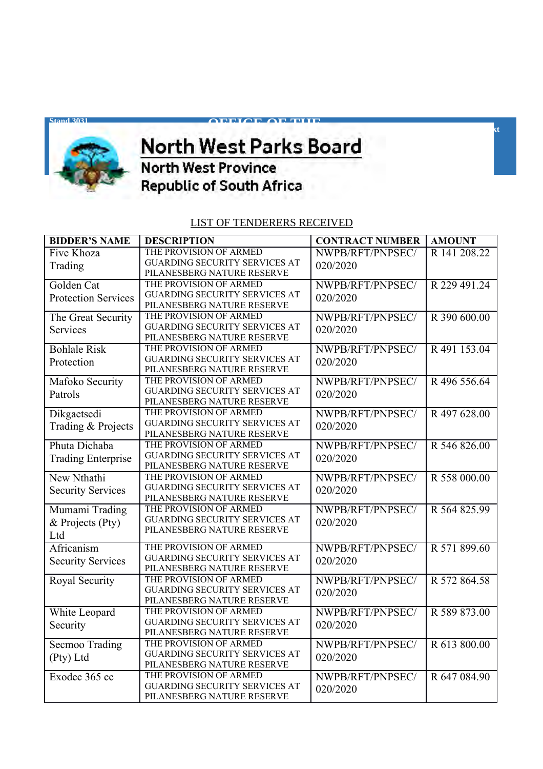

## **Supply Chain Contract Chain Contract Chain Contract Chain Contract Chain Contract Chain Chain Chain Chain Chai** <u>WAS DESCRIPTION OF</u>

**OFFICE OF THE**

**Tel: +27(18)** 397 1500 ext **x** 

## **Republic of South Africa**

## LIST OF TENDERERS RECEIVED

| <b>BIDDER'S NAME</b>       | <b>DESCRIPTION</b>                   | <b>CONTRACT NUMBER</b> | <b>AMOUNT</b> |
|----------------------------|--------------------------------------|------------------------|---------------|
| Five Khoza                 | THE PROVISION OF ARMED               | NWPB/RFT/PNPSEC/       | R 141 208.22  |
| Trading                    | <b>GUARDING SECURITY SERVICES AT</b> | 020/2020               |               |
|                            | PILANESBERG NATURE RESERVE           |                        |               |
| Golden Cat                 | THE PROVISION OF ARMED               | NWPB/RFT/PNPSEC/       | R 229 491.24  |
| <b>Protection Services</b> | <b>GUARDING SECURITY SERVICES AT</b> | 020/2020               |               |
|                            | PILANESBERG NATURE RESERVE           |                        |               |
| The Great Security         | THE PROVISION OF ARMED               | NWPB/RFT/PNPSEC/       | R 390 600.00  |
| Services                   | <b>GUARDING SECURITY SERVICES AT</b> | 020/2020               |               |
|                            | PILANESBERG NATURE RESERVE           |                        |               |
| <b>Bohlale Risk</b>        | THE PROVISION OF ARMED               | NWPB/RFT/PNPSEC/       | R 491 153.04  |
| Protection                 | GUARDING SECURITY SERVICES AT        | 020/2020               |               |
|                            | PILANESBERG NATURE RESERVE           |                        |               |
| Mafoko Security            | THE PROVISION OF ARMED               | NWPB/RFT/PNPSEC/       | R496 556.64   |
| Patrols                    | <b>GUARDING SECURITY SERVICES AT</b> | 020/2020               |               |
|                            | PILANESBERG NATURE RESERVE           |                        |               |
| Dikgaetsedi                | THE PROVISION OF ARMED               | NWPB/RFT/PNPSEC/       | R 497 628.00  |
| Trading & Projects         | <b>GUARDING SECURITY SERVICES AT</b> | 020/2020               |               |
|                            | PILANESBERG NATURE RESERVE           |                        |               |
| Phuta Dichaba              | THE PROVISION OF ARMED               | NWPB/RFT/PNPSEC/       | R 546 826.00  |
| <b>Trading Enterprise</b>  | <b>GUARDING SECURITY SERVICES AT</b> | 020/2020               |               |
|                            | PILANESBERG NATURE RESERVE           |                        |               |
| New Nthathi                | THE PROVISION OF ARMED               | NWPB/RFT/PNPSEC/       | R 558 000.00  |
| <b>Security Services</b>   | <b>GUARDING SECURITY SERVICES AT</b> | 020/2020               |               |
|                            | PILANESBERG NATURE RESERVE           |                        |               |
| Mumami Trading             | THE PROVISION OF ARMED               | NWPB/RFT/PNPSEC/       | R 564 825.99  |
| & Projects (Pty)           | <b>GUARDING SECURITY SERVICES AT</b> | 020/2020               |               |
| Ltd                        | PILANESBERG NATURE RESERVE           |                        |               |
| Africanism                 | THE PROVISION OF ARMED               | NWPB/RFT/PNPSEC/       | R 571 899.60  |
|                            | GUARDING SECURITY SERVICES AT        |                        |               |
| <b>Security Services</b>   | PILANESBERG NATURE RESERVE           | 020/2020               |               |
| Royal Security             | THE PROVISION OF ARMED               | NWPB/RFT/PNPSEC/       | R 572 864.58  |
|                            | <b>GUARDING SECURITY SERVICES AT</b> |                        |               |
|                            | PILANESBERG NATURE RESERVE           | 020/2020               |               |
| White Leopard              | THE PROVISION OF ARMED               | NWPB/RFT/PNPSEC/       | R 589 873.00  |
|                            | <b>GUARDING SECURITY SERVICES AT</b> | 020/2020               |               |
| Security                   | PILANESBERG NATURE RESERVE           |                        |               |
| Secmoo Trading             | THE PROVISION OF ARMED               | NWPB/RFT/PNPSEC/       | R 613 800.00  |
|                            | <b>GUARDING SECURITY SERVICES AT</b> | 020/2020               |               |
| (Pty) Ltd                  | PILANESBERG NATURE RESERVE           |                        |               |
| Exodec 365 cc              | THE PROVISION OF ARMED               | NWPB/RFT/PNPSEC/       | R 647 084.90  |
|                            | <b>GUARDING SECURITY SERVICES AT</b> | 020/2020               |               |
|                            | PILANESBERG NATURE RESERVE           |                        |               |